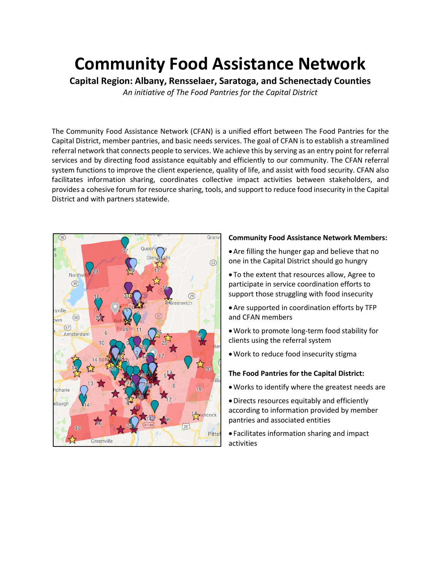# **Community Food Assistance Network**

**Capital Region: Albany, Rensselaer, Saratoga, and Schenectady Counties** *An initiative of The Food Pantries for the Capital District*

The Community Food Assistance Network (CFAN) is a unified effort between The Food Pantries for the Capital District, member pantries, and basic needs services. The goal of CFAN is to establish a streamlined referral network that connects people to services. We achieve this by serving as an entry point for referral services and by directing food assistance equitably and efficiently to our community. The CFAN referral system functions to improve the client experience, quality of life, and assist with food security. CFAN also facilitates information sharing, coordinates collective impact activities between stakeholders, and provides a cohesive forum for resource sharing, tools, and support to reduce food insecurity in the Capital District and with partners statewide.



#### **Community Food Assistance Network Members:**

- •Are filling the hunger gap and believe that no one in the Capital District should go hungry
- To the extent that resources allow, Agree to participate in service coordination efforts to support those struggling with food insecurity
- •Are supported in coordination efforts by TFP and CFAN members
- •Work to promote long-term food stability for clients using the referral system
- •Work to reduce food insecurity stigma

## **The Food Pantries for the Capital District:**

- •Works to identify where the greatest needs are
- •Directs resources equitably and efficiently according to information provided by member pantries and associated entities
- Facilitates information sharing and impact activities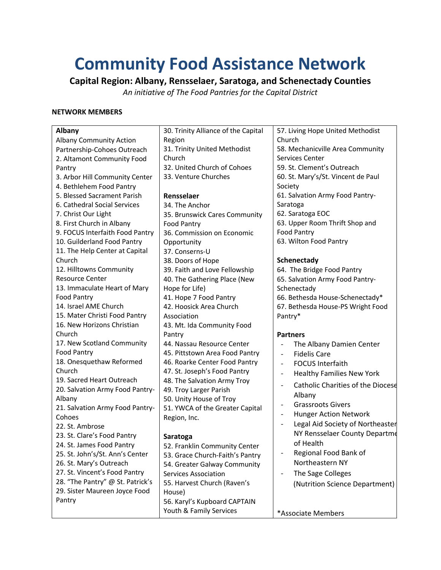# **Community Food Assistance Network**

**Capital Region: Albany, Rensselaer, Saratoga, and Schenectady Counties** *An initiative of The Food Pantries for the Capital District*

#### **NETWORK MEMBERS**

| <b>Albany</b>                    | 30. Trinity Alliance of the Capital | 57. Living Hope United Methodist                             |
|----------------------------------|-------------------------------------|--------------------------------------------------------------|
| <b>Albany Community Action</b>   | Region                              | Church                                                       |
| Partnership-Cohoes Outreach      | 31. Trinity United Methodist        | 58. Mechanicville Area Community                             |
| 2. Altamont Community Food       | Church                              | Services Center                                              |
| Pantry                           | 32. United Church of Cohoes         | 59. St. Clement's Outreach                                   |
| 3. Arbor Hill Community Center   | 33. Venture Churches                | 60. St. Mary's/St. Vincent de Paul                           |
| 4. Bethlehem Food Pantry         |                                     | Society                                                      |
| 5. Blessed Sacrament Parish      | Rensselaer                          | 61. Salvation Army Food Pantry-                              |
| 6. Cathedral Social Services     | 34. The Anchor                      | Saratoga                                                     |
| 7. Christ Our Light              | 35. Brunswick Cares Community       | 62. Saratoga EOC                                             |
| 8. First Church in Albany        | <b>Food Pantry</b>                  | 63. Upper Room Thrift Shop and                               |
| 9. FOCUS Interfaith Food Pantry  | 36. Commission on Economic          | <b>Food Pantry</b>                                           |
| 10. Guilderland Food Pantry      | Opportunity                         | 63. Wilton Food Pantry                                       |
| 11. The Help Center at Capital   | 37. Conserns-U                      |                                                              |
| Church                           | 38. Doors of Hope                   | Schenectady                                                  |
| 12. Hilltowns Community          | 39. Faith and Love Fellowship       | 64. The Bridge Food Pantry                                   |
| <b>Resource Center</b>           | 40. The Gathering Place (New        | 65. Salvation Army Food Pantry-                              |
| 13. Immaculate Heart of Mary     | Hope for Life)                      | Schenectady                                                  |
| <b>Food Pantry</b>               | 41. Hope 7 Food Pantry              | 66. Bethesda House-Schenectady*                              |
| 14. Israel AME Church            | 42. Hoosick Area Church             | 67. Bethesda House-PS Wright Food                            |
| 15. Mater Christi Food Pantry    | Association                         | Pantry*                                                      |
| 16. New Horizons Christian       | 43. Mt. Ida Community Food          |                                                              |
| Church                           | Pantry                              | <b>Partners</b>                                              |
| 17. New Scotland Community       | 44. Nassau Resource Center          | The Albany Damien Center<br>$\overline{a}$                   |
| <b>Food Pantry</b>               | 45. Pittstown Area Food Pantry      | <b>Fidelis Care</b><br>$\overline{a}$                        |
| 18. Onesquethaw Reformed         | 46. Roarke Center Food Pantry       | <b>FOCUS Interfaith</b><br>$\overline{\phantom{0}}$          |
| Church                           | 47. St. Joseph's Food Pantry        | <b>Healthy Families New York</b><br>$\overline{\phantom{0}}$ |
| 19. Sacred Heart Outreach        | 48. The Salvation Army Troy         |                                                              |
| 20. Salvation Army Food Pantry-  | 49. Troy Larger Parish              | <b>Catholic Charities of the Diocese</b><br>$\overline{a}$   |
| Albany                           | 50. Unity House of Troy             | Albany                                                       |
| 21. Salvation Army Food Pantry-  | 51. YWCA of the Greater Capital     | <b>Grassroots Givers</b><br>$\overline{\phantom{0}}$         |
| Cohoes                           | Region, Inc.                        | <b>Hunger Action Network</b><br>$\overline{a}$               |
| 22. St. Ambrose                  |                                     | Legal Aid Society of Northeaster<br>$\overline{a}$           |
| 23. St. Clare's Food Pantry      | Saratoga                            | NY Rensselaer County Departme                                |
| 24. St. James Food Pantry        | 52. Franklin Community Center       | of Health                                                    |
| 25. St. John's/St. Ann's Center  | 53. Grace Church-Faith's Pantry     | Regional Food Bank of<br>$\overline{\phantom{0}}$            |
| 26. St. Mary's Outreach          | 54. Greater Galway Community        | Northeastern NY                                              |
| 27. St. Vincent's Food Pantry    | <b>Services Association</b>         | The Sage Colleges                                            |
| 28. "The Pantry" @ St. Patrick's | 55. Harvest Church (Raven's         | (Nutrition Science Department)                               |
| 29. Sister Maureen Joyce Food    | House)                              |                                                              |
| Pantry                           | 56. Karyl's Kupboard CAPTAIN        |                                                              |
|                                  | Youth & Family Services             | *Associate Members                                           |
|                                  |                                     |                                                              |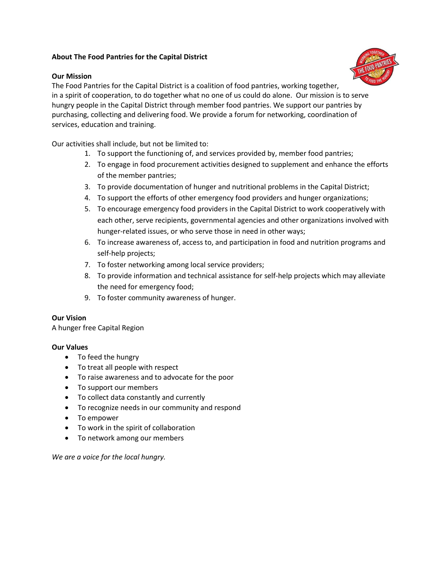### **About The Food Pantries for the Capital District**

### **Our Mission**



The Food Pantries for the Capital District is a coalition of food pantries, working together, in a spirit of cooperation, to do together what no one of us could do alone. Our mission is to serve hungry people in the Capital District through member food pantries. We support our pantries by purchasing, collecting and delivering food. We provide a forum for networking, coordination of services, education and training.

Our activities shall include, but not be limited to:

- 1. To support the functioning of, and services provided by, member food pantries;
- 2. To engage in food procurement activities designed to supplement and enhance the efforts of the member pantries;
- 3. To provide documentation of hunger and nutritional problems in the Capital District;
- 4. To support the efforts of other emergency food providers and hunger organizations;
- 5. To encourage emergency food providers in the Capital District to work cooperatively with each other, serve recipients, governmental agencies and other organizations involved with hunger-related issues, or who serve those in need in other ways;
- 6. To increase awareness of, access to, and participation in food and nutrition programs and self-help projects;
- 7. To foster networking among local service providers;
- 8. To provide information and technical assistance for self-help projects which may alleviate the need for emergency food;
- 9. To foster community awareness of hunger.

#### **Our Vision**

A hunger free Capital Region

#### **Our Values**

- To feed the hungry
- To treat all people with respect
- To raise awareness and to advocate for the poor
- To support our members
- To collect data constantly and currently
- To recognize needs in our community and respond
- To empower
- To work in the spirit of collaboration
- To network among our members

*We are a voice for the local hungry.*